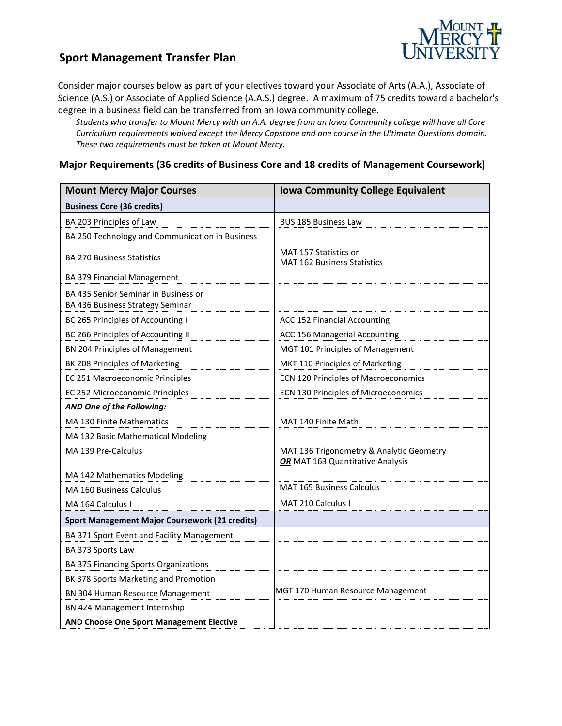

Consider major courses below as part of your electives toward your Associate of Arts (A.A.), Associate of Science (A.S.) or Associate of Applied Science (A.A.S.) degree. A maximum of 75 credits toward a bachelor's degree in a business field can be transferred from an Iowa community college.

*Students who transfer to Mount Mercy with an A.A. degree from an Iowa Community college will have all Core Curriculum requirements waived except the Mercy Capstone and one course in the Ultimate Questions domain. These two requirements must be taken at Mount Mercy.* 

#### **Major Requirements (36 credits of Business Core and 18 credits of Management Coursework)**

| <b>Mount Mercy Major Courses</b>                                         | <b>Iowa Community College Equivalent</b>                                     |
|--------------------------------------------------------------------------|------------------------------------------------------------------------------|
| <b>Business Core (36 credits)</b>                                        |                                                                              |
| BA 203 Principles of Law                                                 | <b>BUS 185 Business Law</b>                                                  |
| BA 250 Technology and Communication in Business                          |                                                                              |
| <b>BA 270 Business Statistics</b>                                        | MAT 157 Statistics or<br><b>MAT 162 Business Statistics</b>                  |
| BA 379 Financial Management                                              |                                                                              |
| BA 435 Senior Seminar in Business or<br>BA 436 Business Strategy Seminar |                                                                              |
| BC 265 Principles of Accounting I                                        | ACC 152 Financial Accounting                                                 |
| BC 266 Principles of Accounting II                                       | ACC 156 Managerial Accounting                                                |
| BN 204 Principles of Management                                          | MGT 101 Principles of Management                                             |
| BK 208 Principles of Marketing                                           | MKT 110 Principles of Marketing                                              |
| EC 251 Macroeconomic Principles                                          | <b>ECN 120 Principles of Macroeconomics</b>                                  |
| EC 252 Microeconomic Principles                                          | ECN 130 Principles of Microeconomics                                         |
| AND One of the Following:                                                |                                                                              |
| <b>MA 130 Finite Mathematics</b>                                         | MAT 140 Finite Math                                                          |
| MA 132 Basic Mathematical Modeling                                       |                                                                              |
| MA 139 Pre-Calculus                                                      | MAT 136 Trigonometry & Analytic Geometry<br>OR MAT 163 Quantitative Analysis |
| MA 142 Mathematics Modeling                                              |                                                                              |
| <b>MA 160 Business Calculus</b>                                          | MAT 165 Business Calculus                                                    |
| MA 164 Calculus I                                                        | <b>MAT 210 Calculus I</b>                                                    |
| Sport Management Major Coursework (21 credits)                           |                                                                              |
| BA 371 Sport Event and Facility Management                               |                                                                              |
| BA 373 Sports Law                                                        |                                                                              |
| BA 375 Financing Sports Organizations                                    |                                                                              |
| BK 378 Sports Marketing and Promotion                                    |                                                                              |
| BN 304 Human Resource Management                                         | MGT 170 Human Resource Management                                            |
| BN 424 Management Internship                                             |                                                                              |
| <b>AND Choose One Sport Management Elective</b>                          |                                                                              |